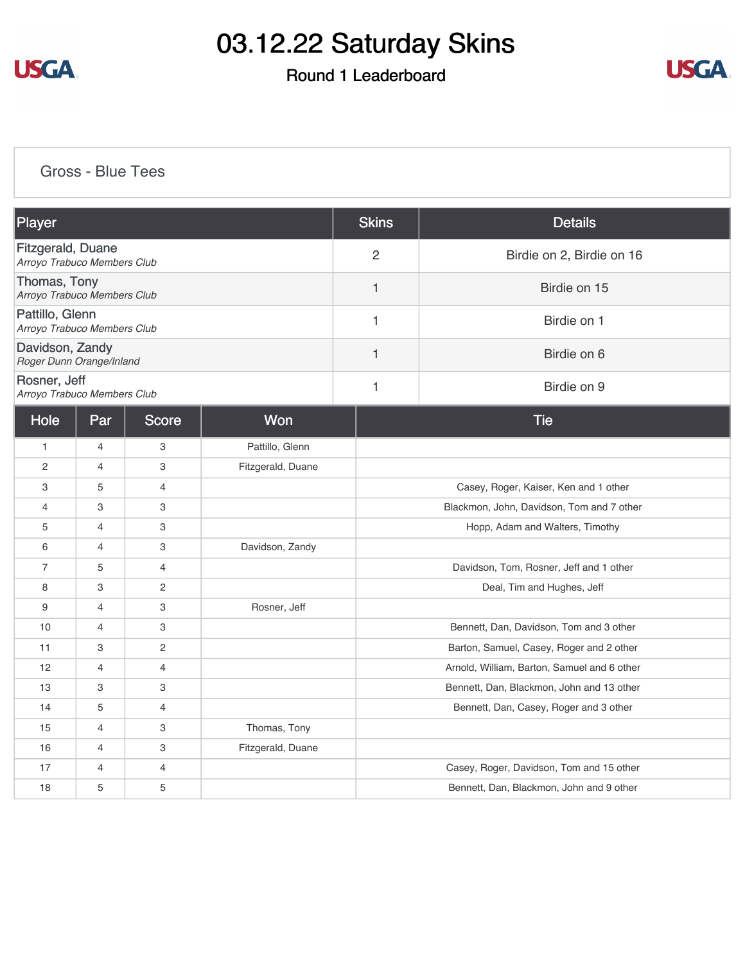

### Round 1 Leaderboard



#### [Gross - Blue Tees](https://cdn2.golfgenius.com/v2tournaments/8291606067385753715?called_from=&round_index=1)

| Player                                           |                |                |                   | <b>Skins</b>                            | <b>Details</b>                              |  |  |
|--------------------------------------------------|----------------|----------------|-------------------|-----------------------------------------|---------------------------------------------|--|--|
| Fitzgerald, Duane<br>Arroyo Trabuco Members Club |                |                |                   | $\overline{2}$                          | Birdie on 2, Birdie on 16                   |  |  |
| Thomas, Tony<br>Arroyo Trabuco Members Club      |                |                |                   | 1                                       | Birdie on 15                                |  |  |
| Pattillo, Glenn<br>Arroyo Trabuco Members Club   |                |                |                   | 1                                       | Birdie on 1                                 |  |  |
| Davidson, Zandy<br>Roger Dunn Orange/Inland      |                |                |                   | 1                                       | Birdie on 6                                 |  |  |
| Rosner, Jeff<br>Arroyo Trabuco Members Club      |                |                |                   | 1                                       | Birdie on 9                                 |  |  |
| Hole                                             | Par            | <b>Score</b>   | Won               |                                         | <b>Tie</b>                                  |  |  |
| $\mathbf{1}$                                     | $\overline{4}$ | 3              | Pattillo, Glenn   |                                         |                                             |  |  |
| $\overline{2}$                                   | $\overline{4}$ | 3              | Fitzgerald, Duane |                                         |                                             |  |  |
| 3                                                | 5              | $\overline{4}$ |                   |                                         | Casey, Roger, Kaiser, Ken and 1 other       |  |  |
| $\overline{4}$                                   | 3              | 3              |                   |                                         | Blackmon, John, Davidson, Tom and 7 other   |  |  |
| 5                                                | 4              | 3              |                   |                                         | Hopp, Adam and Walters, Timothy             |  |  |
| 6                                                | $\overline{4}$ | 3              | Davidson, Zandy   |                                         |                                             |  |  |
| $\overline{7}$                                   | 5              | $\overline{4}$ |                   | Davidson, Tom, Rosner, Jeff and 1 other |                                             |  |  |
| 8                                                | 3              | $\mathbf{2}$   |                   | Deal, Tim and Hughes, Jeff              |                                             |  |  |
| 9                                                | 4              | 3              | Rosner, Jeff      |                                         |                                             |  |  |
| 10                                               | $\overline{4}$ | 3              |                   |                                         | Bennett, Dan, Davidson, Tom and 3 other     |  |  |
| 11                                               | 3              | $\overline{c}$ |                   |                                         | Barton, Samuel, Casey, Roger and 2 other    |  |  |
| 12                                               | $\overline{4}$ | $\overline{4}$ |                   |                                         | Arnold, William, Barton, Samuel and 6 other |  |  |
| 13                                               | 3              | 3              |                   |                                         | Bennett, Dan, Blackmon, John and 13 other   |  |  |
| 14                                               | 5              | $\overline{4}$ |                   |                                         | Bennett, Dan, Casey, Roger and 3 other      |  |  |
| 15                                               | $\overline{4}$ | 3              | Thomas, Tony      |                                         |                                             |  |  |
| 16                                               | $\overline{4}$ | 3              | Fitzgerald, Duane |                                         |                                             |  |  |
| 17                                               | 4              | $\overline{4}$ |                   |                                         | Casey, Roger, Davidson, Tom and 15 other    |  |  |
| 18                                               | 5              | 5              |                   |                                         | Bennett, Dan, Blackmon, John and 9 other    |  |  |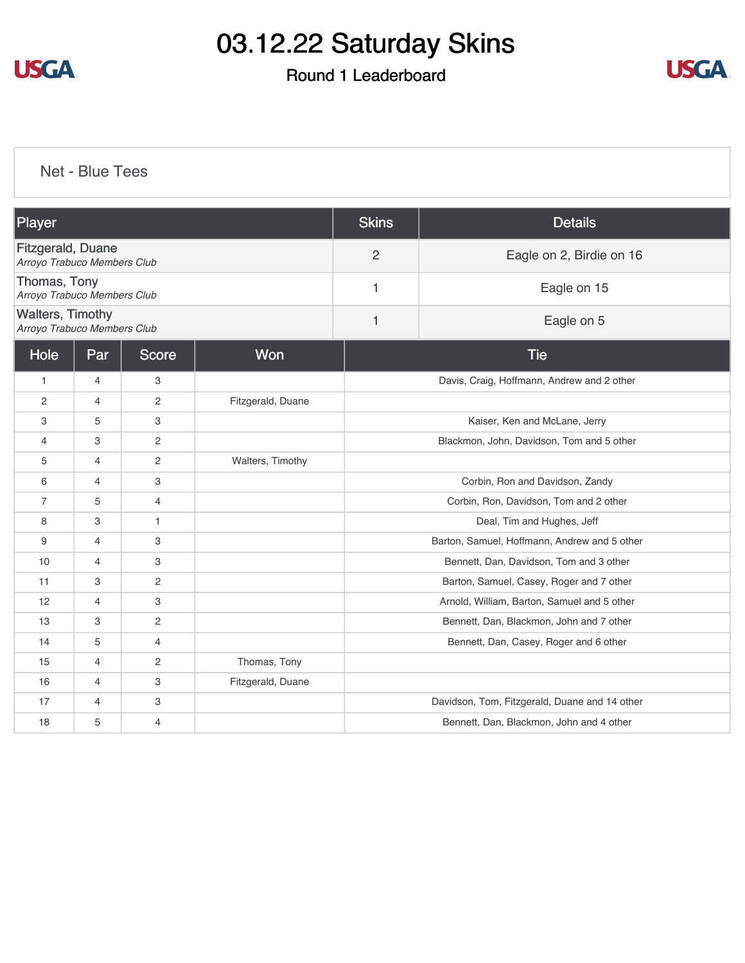

### Round 1 Leaderboard



[Net - Blue Tees](https://cdn2.golfgenius.com/v2tournaments/8291606766894997620?called_from=&round_index=1)

| Player                                                  |                            |                                  |                   | <b>Skins</b>                                  | <b>Details</b>                             |  |  |
|---------------------------------------------------------|----------------------------|----------------------------------|-------------------|-----------------------------------------------|--------------------------------------------|--|--|
| <b>Fitzgerald, Duane</b><br>Arroyo Trabuco Members Club |                            |                                  |                   | $\overline{2}$                                | Eagle on 2, Birdie on 16                   |  |  |
| Thomas, Tony                                            |                            | 1<br>Arroyo Trabuco Members Club |                   |                                               | Eagle on 15                                |  |  |
| <b>Walters, Timothy</b><br>Arroyo Trabuco Members Club  |                            |                                  |                   | 1                                             | Eagle on 5                                 |  |  |
| Hole                                                    | Won<br>Par<br><b>Score</b> |                                  |                   | <b>Tie</b>                                    |                                            |  |  |
| $\mathbf{1}$                                            | $\overline{4}$             | 3                                |                   |                                               | Davis, Craig, Hoffmann, Andrew and 2 other |  |  |
| $\mathbf{2}$                                            | $\overline{4}$             | $\mathbf{2}$                     | Fitzgerald, Duane |                                               |                                            |  |  |
| 3                                                       | 5                          | 3                                |                   | Kaiser, Ken and McLane, Jerry                 |                                            |  |  |
| 4                                                       | 3                          | 2                                |                   | Blackmon, John, Davidson, Tom and 5 other     |                                            |  |  |
| 5                                                       | $\overline{4}$             | $\mathbf{2}$                     | Walters, Timothy  |                                               |                                            |  |  |
| 6                                                       | $\overline{4}$             | 3                                |                   | Corbin, Ron and Davidson, Zandy               |                                            |  |  |
| $\overline{7}$                                          | 5                          | $\overline{4}$                   |                   | Corbin, Ron, Davidson, Tom and 2 other        |                                            |  |  |
| 8                                                       | 3                          | $\mathbf{1}$                     |                   | Deal, Tim and Hughes, Jeff                    |                                            |  |  |
| 9                                                       | $\overline{4}$             | 3                                |                   | Barton, Samuel, Hoffmann, Andrew and 5 other  |                                            |  |  |
| 10                                                      | $\overline{4}$             | 3                                |                   | Bennett, Dan, Davidson, Tom and 3 other       |                                            |  |  |
| 11                                                      | 3                          | $\overline{c}$                   |                   | Barton, Samuel, Casey, Roger and 7 other      |                                            |  |  |
| 12                                                      | $\overline{4}$             | 3                                |                   | Arnold, William, Barton, Samuel and 5 other   |                                            |  |  |
| 13                                                      | 3                          | 2                                |                   | Bennett, Dan, Blackmon, John and 7 other      |                                            |  |  |
| 14                                                      | 5                          | 4                                |                   | Bennett, Dan, Casey, Roger and 6 other        |                                            |  |  |
| 15                                                      | 4                          | $\mathbf{2}$                     | Thomas, Tony      |                                               |                                            |  |  |
| 16                                                      | $\overline{4}$             | 3                                | Fitzgerald, Duane |                                               |                                            |  |  |
| 17                                                      | $\overline{4}$             | 3                                |                   | Davidson, Tom, Fitzgerald, Duane and 14 other |                                            |  |  |
| 18                                                      | 5                          | $\overline{4}$                   |                   | Bennett, Dan, Blackmon, John and 4 other      |                                            |  |  |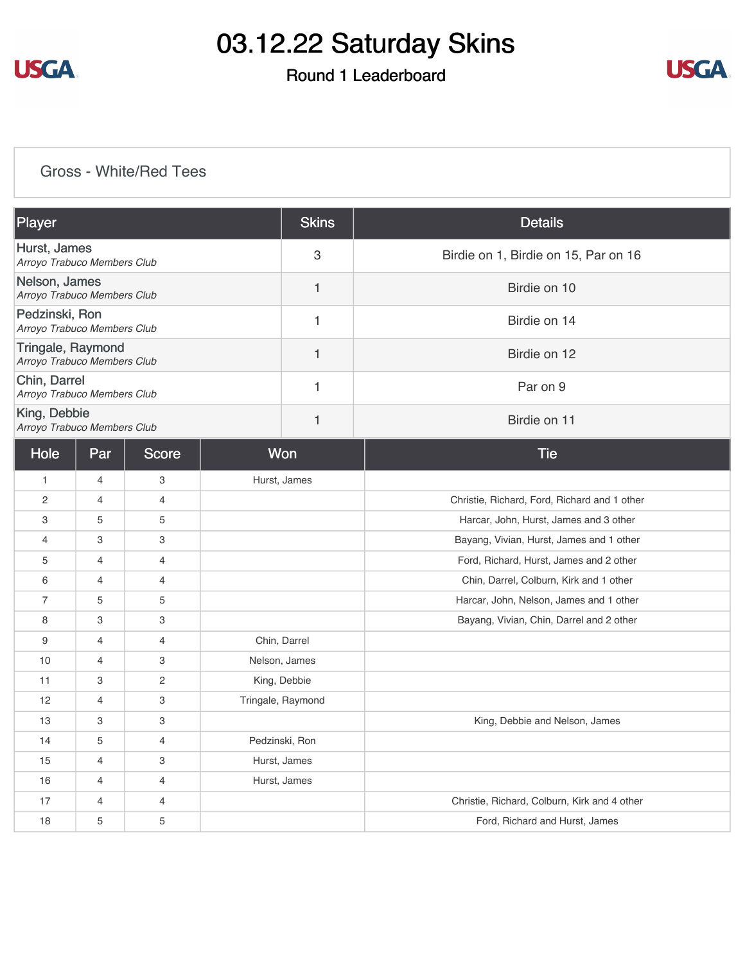

## Round 1 Leaderboard



### [Gross - White/Red Tees](https://cdn2.golfgenius.com/v2tournaments/8291607589549006965?called_from=&round_index=1)

| Player                                                  | <b>Skins</b> | <b>Details</b>                       |
|---------------------------------------------------------|--------------|--------------------------------------|
| Hurst, James<br>Arroyo Trabuco Members Club             | 3            | Birdie on 1, Birdie on 15, Par on 16 |
| Nelson, James<br>Arroyo Trabuco Members Club            |              | Birdie on 10                         |
| Pedzinski, Ron<br>Arroyo Trabuco Members Club           |              | Birdie on 14                         |
| <b>Tringale, Raymond</b><br>Arroyo Trabuco Members Club |              | Birdie on 12                         |
| Chin, Darrel<br>Arroyo Trabuco Members Club             |              | Par on 9                             |
| King, Debbie<br>Arroyo Trabuco Members Club             |              | Birdie on 11                         |

| Hole           | Par            | Score          | Won               | <b>Tie</b>                                   |
|----------------|----------------|----------------|-------------------|----------------------------------------------|
| $\mathbf{1}$   | 4              | 3              | Hurst, James      |                                              |
| $\overline{c}$ | 4              | 4              |                   | Christie, Richard, Ford, Richard and 1 other |
| 3              | 5              | 5              |                   | Harcar, John, Hurst, James and 3 other       |
| 4              | 3              | 3              |                   | Bayang, Vivian, Hurst, James and 1 other     |
| 5              | $\overline{4}$ | $\overline{4}$ |                   | Ford, Richard, Hurst, James and 2 other      |
| 6              | 4              | 4              |                   | Chin, Darrel, Colburn, Kirk and 1 other      |
| 7              | 5              | 5              |                   | Harcar, John, Nelson, James and 1 other      |
| 8              | 3              | 3              |                   | Bayang, Vivian, Chin, Darrel and 2 other     |
| 9              | $\overline{4}$ | $\overline{4}$ | Chin, Darrel      |                                              |
| 10             | $\overline{4}$ | 3              | Nelson, James     |                                              |
| 11             | 3              | $\mathbf{2}$   | King, Debbie      |                                              |
| 12             | 4              | 3              | Tringale, Raymond |                                              |
| 13             | 3              | 3              |                   | King, Debbie and Nelson, James               |
| 14             | 5              | $\overline{4}$ | Pedzinski, Ron    |                                              |
| 15             | $\overline{4}$ | 3              | Hurst, James      |                                              |
| 16             | 4              | 4              | Hurst, James      |                                              |
| 17             | 4              | $\overline{4}$ |                   | Christie, Richard, Colburn, Kirk and 4 other |
| 18             | 5              | 5              |                   | Ford, Richard and Hurst, James               |